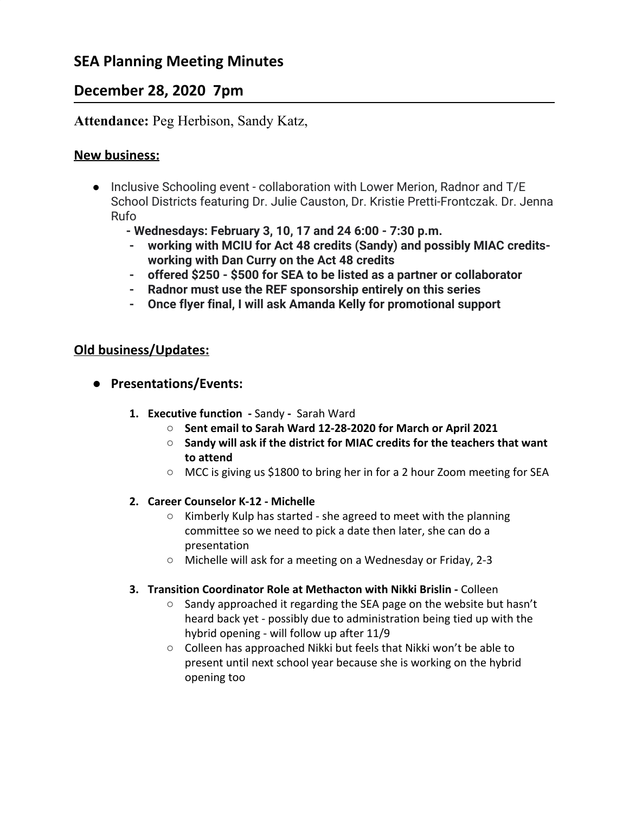# **SEA Planning Meeting Minutes**

# **December 28, 2020 7pm**

## **Attendance:** Peg Herbison, Sandy Katz,

### **New business:**

- **●** Inclusive Schooling event collaboration with Lower Merion, Radnor and T/E School Districts featuring Dr. Julie Causton, Dr. Kristie Pretti-Frontczak. Dr. Jenna Rufo
	- **Wednesdays: February 3, 10, 17 and 24 6:00 7:30 p.m.**
	- **- working with MCIU for Act 48 credits (Sandy) and possibly MIAC creditsworking with Dan Curry on the Act 48 credits**
	- **- offered \$250 \$500 for SEA to be listed as a partner or collaborator**
	- **- Radnor must use the REF sponsorship entirely on this series**
	- **- Once flyer final, I will ask Amanda Kelly for promotional support**

### **Old business/Updates:**

- **● Presentations/Events:**
	- **1. Executive function -** SandySarah Ward
		- **○ Sent email to Sarah Ward 12-28-2020 for March or April 2021**
		- **Sandy will ask if the district for MIAC credits for the teachers that want to attend**
		- MCC is giving us \$1800 to bring her in for a 2 hour Zoom meeting for SEA

#### **2. Career Counselor K-12 - Michelle**

- Kimberly Kulp has started she agreed to meet with the planning committee so we need to pick a date then later, she can do a presentation
- Michelle will ask for a meeting on a Wednesday or Friday, 2-3
- **3. Transition Coordinator Role at Methacton with Nikki Brislin** Colleen
	- Sandy approached it regarding the SEA page on the website but hasn't heard back yet - possibly due to administration being tied up with the hybrid opening - will follow up after 11/9
	- Colleen has approached Nikki but feels that Nikki won't be able to present until next school year because she is working on the hybrid opening too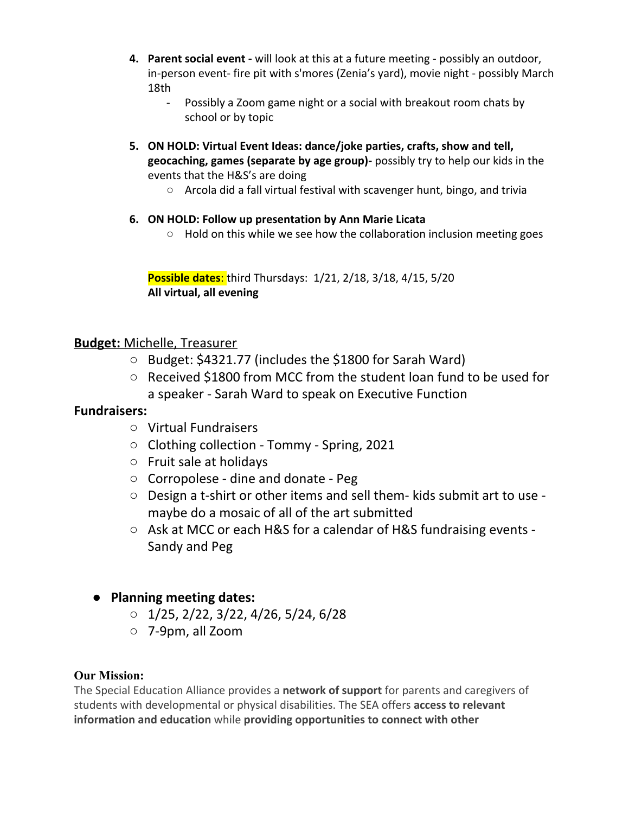- **4. Parent social event -** will look at this at a future meeting possibly an outdoor, in-person event- fire pit with s'mores (Zenia's yard), movie night - possibly March 18th
	- Possibly a Zoom game night or a social with breakout room chats by school or by topic
- **5. ON HOLD: Virtual Event Ideas: dance/joke parties, crafts, show and tell, geocaching, games (separate by age group)-** possibly try to help our kids in the events that the H&S's are doing
	- Arcola did a fall virtual festival with scavenger hunt, bingo, and trivia
- **6. ON HOLD: Follow up presentation by Ann Marie Licata**
	- Hold on this while we see how the collaboration inclusion meeting goes

**Possible dates**: third Thursdays: 1/21, 2/18, 3/18, 4/15, 5/20 **All virtual, all evening**

## **Budget:** Michelle, Treasurer

- Budget: \$4321.77 (includes the \$1800 for Sarah Ward)
- Received \$1800 from MCC from the student loan fund to be used for a speaker - Sarah Ward to speak on Executive Function

## **Fundraisers:**

- Virtual Fundraisers
- Clothing collection Tommy Spring, 2021
- Fruit sale at holidays
- Corropolese dine and donate Peg
- Design a t-shirt or other items and sell them- kids submit art to use maybe do a mosaic of all of the art submitted
- Ask at MCC or each H&S for a calendar of H&S fundraising events -Sandy and Peg
- **● Planning meeting dates:**
	- $\circ$  1/25, 2/22, 3/22, 4/26, 5/24, 6/28
	- 7-9pm, all Zoom

## **Our Mission:**

The Special Education Alliance provides a **network of support** for parents and caregivers of students with developmental or physical disabilities. The SEA offers **access to relevant information and education** while **providing opportunities to connect with other**